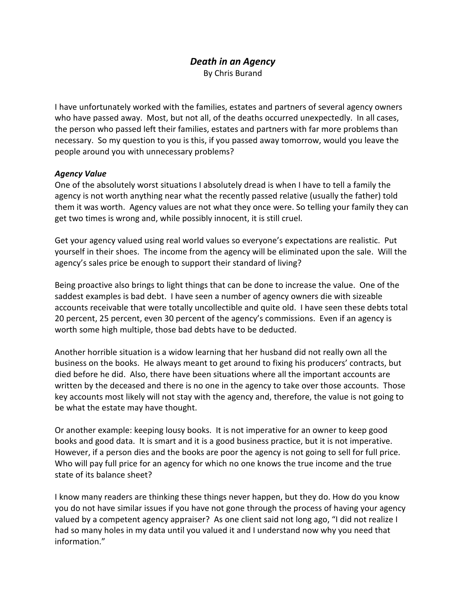# *Death in an Agency*

By Chris Burand

I have unfortunately worked with the families, estates and partners of several agency owners who have passed away. Most, but not all, of the deaths occurred unexpectedly. In all cases, the person who passed left their families, estates and partners with far more problems than necessary. So my question to you is this, if you passed away tomorrow, would you leave the people around you with unnecessary problems?

## *Agency Value*

One of the absolutely worst situations I absolutely dread is when I have to tell a family the agency is not worth anything near what the recently passed relative (usually the father) told them it was worth. Agency values are not what they once were. So telling your family they can get two times is wrong and, while possibly innocent, it is still cruel.

Get your agency valued using real world values so everyone's expectations are realistic. Put yourself in their shoes. The income from the agency will be eliminated upon the sale. Will the agency's sales price be enough to support their standard of living?

Being proactive also brings to light things that can be done to increase the value. One of the saddest examples is bad debt. I have seen a number of agency owners die with sizeable accounts receivable that were totally uncollectible and quite old. I have seen these debts total 20 percent, 25 percent, even 30 percent of the agency's commissions. Even if an agency is worth some high multiple, those bad debts have to be deducted.

Another horrible situation is a widow learning that her husband did not really own all the business on the books. He always meant to get around to fixing his producers' contracts, but died before he did. Also, there have been situations where all the important accounts are written by the deceased and there is no one in the agency to take over those accounts. Those key accounts most likely will not stay with the agency and, therefore, the value is not going to be what the estate may have thought.

Or another example: keeping lousy books. It is not imperative for an owner to keep good books and good data. It is smart and it is a good business practice, but it is not imperative. However, if a person dies and the books are poor the agency is not going to sell for full price. Who will pay full price for an agency for which no one knows the true income and the true state of its balance sheet?

I know many readers are thinking these things never happen, but they do. How do you know you do not have similar issues if you have not gone through the process of having your agency valued by a competent agency appraiser? As one client said not long ago, "I did not realize I had so many holes in my data until you valued it and I understand now why you need that information."